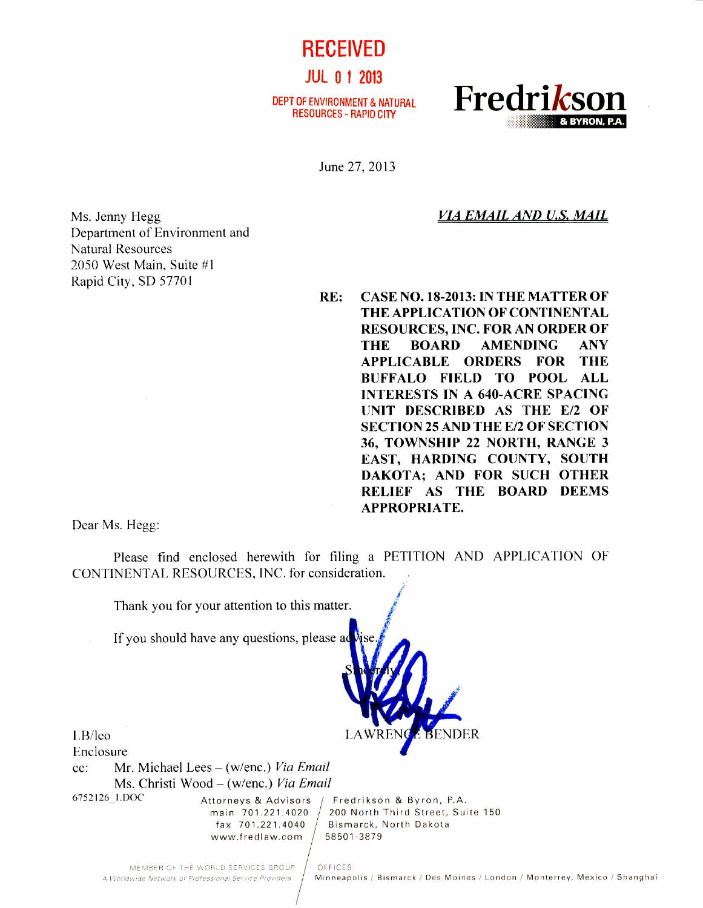# RECEIVED

JUL 0 1 2013

DEPT OF ENVIRONMENT & NATURAL

**Fredrikson** 

June 27, 2013

# *VIA EMAIL AND U.S. MAIL*

Ms. Jenny Hegg Department of Environment and Natural Resources 2050 West Main, Suite #1 Rapid City, SD 57701

**RE: CASE NO. 18-2013: IN THE MATTER OF THE APPLICATION OF CONTINENTAL RESOURCES, INC. FOR AN ORDER OF THE BOARD AMENDING ANY APPLICABLE ORDERS FOR THE BUFFALO FIELD TO POOL ALL INTERESTS IN A 640-ACRE SPACING UNIT DESCRIBED AS THE E/2 OF SECTION 25 AND THE E/2 OF SECTION 36, TOWNSHIP 22 NORTH, RANGE 3 EAST, HARDING COUNTY, SOUTH DAKOTA; AND FOR SUCH OTHER RELIEF AS THE BOARD DEEMS APPROPRIATE.** 

Dear Ms. Hegg:

Please find enclosed herewith for filing a PETITION AND APPLICATION OF CONTINENTAL RESOURCES, INC. for consideration.

Thank you for your attention to this matter.

If you should have any questions, please a



Enclosure

cc: Mr. Michael Lees — (w/enc.) *Via Email*  Ms. Christi Wood — (w/enc.} *Via Email* 

www.fredlaw.com 58501-3879

6752126\_1.DOC **Attorneys & Advisors** / Fredrikson & Byron, P.A. main 701.221.4020 / 200 North Third Street, Suite 150 fax  $701.221.4040$  Bismarck, North Dakota<br>www.fredlaw.com 58501-3879

MEMBER OF THE WORLD SERVICES GROUP | OFFICES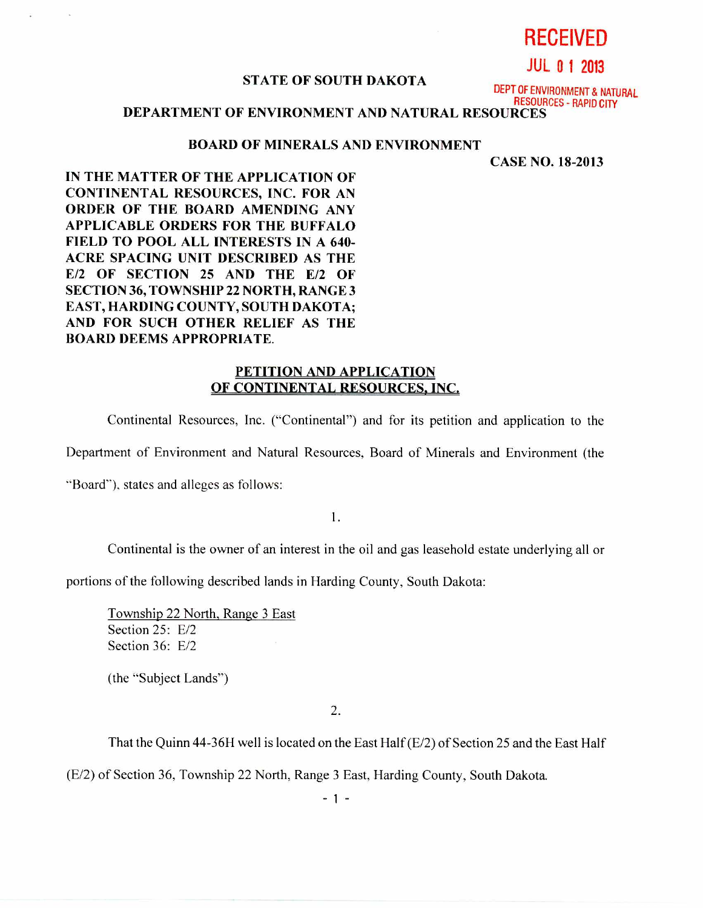**RECEIVED** 

**JUL 0 1 2013** 

#### **STATE OF SOUTH DAKOTA**

DEPT OF ENVIRONMENT & NATURAL RESOURCES - RAPID CITY

### **DEPARTMENT OF ENVIRONMENT AND NATURAL RESOURCES**

#### **BOARD OF MINERALS AND ENVIRONMENT**

**CASE NO. 18-2013** 

**IN THE MATTER OF THE APPLICATION OF CONTINENTAL RESOURCES, INC. FOR AN ORDER OF THE BOARD AMENDING ANY APPLICABLE ORDERS FOR THE BUFFALO FIELD TO POOL ALL INTERESTS IN A 640- ACRE SPACING UNIT DESCRIBED AS THE E/2 OF SECTION 25 AND THE E/2 OF SECTION 36, TOWNSHIP 22 NORTH, RANGE 3 EAST, HARDING COUNTY, SOUTH DAKOTA; AND FOR SUCH OTHER RELIEF AS THE BOARD DEEMS APPROPRIATE.** 

## **PETITION AND APPLICATION OF CONTINENTAL RESOURCES, INC.**

Continental Resources, Inc. ("Continental") and for its petition and application to the

Department of Environment and Natural Resources, Board of Minerals and Environment (the

"Board"), states and alleges as follows:

1.

Continental is the owner of an interest in the oil and gas leasehold estate underlying all or

portions of the following described lands in Harding County, South Dakota:

Township 22 North, Range 3 East Section 25: E/2 Section 36: E/2

(the "Subject Lands")

2.

That the Quinn 44-36H well is located on the East Half (E/2) of Section 25 and the East Half

(E/2) of Section 36, Township 22 North, Range 3 East, Harding County, South Dakota.

- 1 -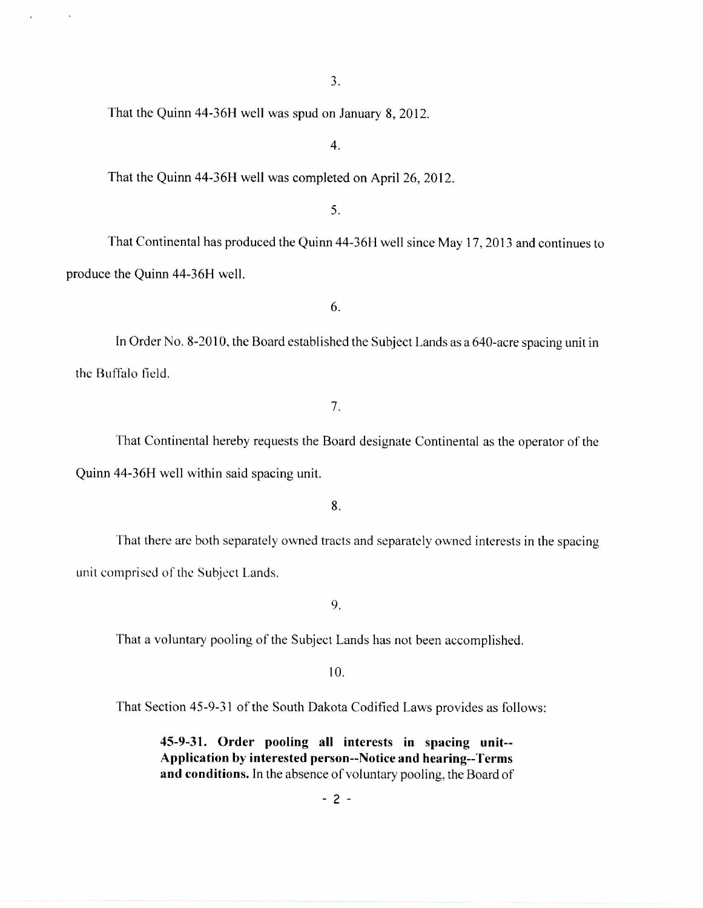That the Quinn 44-36H well was spud on January 8, 2012.

# 4.

That the Quinn 44-36H well was completed on April 26, 2012.

## 5.

That Continental has produced the Quinn 44-36H well since May 17, 2013 and continues to produce the Quinn 44-36H well.

6.

In Order No. 8-2010, the Board established the Subject Lands as a 640-acre spacing unit in the Buffalo field.

7.

That Continental hereby requests the Board designate Continental as the operator of the Quinn 44-36H well within said spacing unit.

8.

That there are both separately owned tracts and separately owned interests in the spacing unit comprised of the Subject Lands.

9.

That a voluntary pooling of the Subject Lands has not been accomplished.

10.

That Section 45-9-31 of the South Dakota Codified Laws provides as follows:

**45-9-31. Order pooling all interests in spacing unit-- Application by interested person--Notice and hearing--Terms and conditions.** In the absence of voluntary pooling, the Board of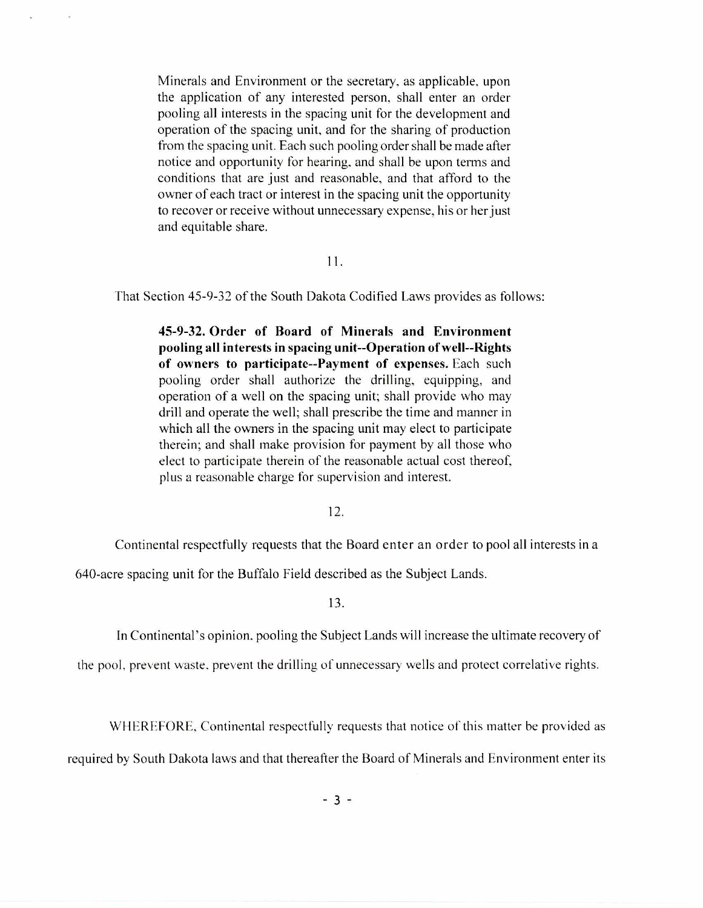Minerals and Environment or the secretary, as applicable, upon the application of any interested person, shall enter an order pooling all interests in the spacing unit for the development and operation of the spacing unit, and for the sharing of production from the spacing unit. Each such pooling order shall be made after notice and opportunity for hearing, and shall be upon terms and conditions that are just and reasonable, and that afford to the owner of each tract or interest in the spacing unit the opportunity to recover or receive without unnecessary expense, his or her just and equitable share.

### $11.$

That Section 45-9-32 of the South Dakota Codified Laws provides as follows:

**45-9-32. Order of Board of Minerals and Environment pooling all interests in spacing unit--Operation of well--Rights of owners to participate--Payment of expenses.** Each such pooling order shall authorize the drilling, equipping, and operation of a well on the spacing unit; shall provide who may drill and operate the well; shall prescribe the time and manner in which all the owners in the spacing unit may elect to participate therein; and shall make provision for payment by all those who elect to participate therein of the reasonable actual cost thereof, plus a reasonable charge for supervision and interest.

#### 12.

Continental respectfully requests that the Board enter an order to pool all interests in a

640-acre spacing unit for the Buffalo Field described as the Subject Lands.

**13.** 

In Continental's opinion, pooling the Subject Lands will increase the ultimate recovery of

the pool, prevent waste, prevent the drilling of unnecessary wells and protect correlative rights.

WHEREFORE, Continental respectfully requests that notice of this matter be provided as

required by South Dakota laws and that thereafter the Board of Minerals and Environment enter its